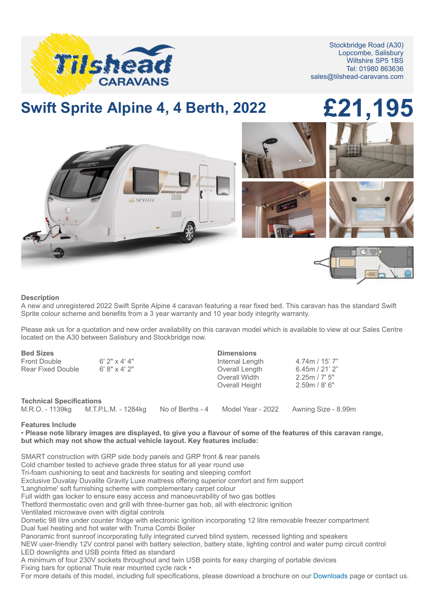

Stockbridge Road (A30) Lopcombe, Salisbury Wiltshire SP5 1BS Tel: 01980 863636 sales@tilshead-caravans.com

## **Swift Sprite Alpine 4, 4 Berth, 2022 £21,195**



## **Description**

A new and unregistered 2022 Swift Sprite Alpine 4 caravan featuring a rear fixed bed. This caravan has the standard Swift Sprite colour scheme and benefits from a 3 year warranty and 10 year body integrity warranty.

Please ask us for a quotation and new order availability on this caravan model which is available to view at our Sales Centre located on the A30 between Salisbury and Stockbridge now.

| <b>Bed Sizes</b>                |                                     |                  | <b>Dimensions</b> |                     |
|---------------------------------|-------------------------------------|------------------|-------------------|---------------------|
| Front Double                    | $6'$ 2" x 4' 4"                     |                  | Internal Length   | $4.74m / 15'$ 7"    |
| Rear Fixed Double               | 6' 8'' 1 4' 2''                     |                  | Overall Length    | 6.45m / 21' 2"      |
|                                 |                                     |                  | Overall Width     | 2.25m / 7' 5''      |
|                                 |                                     |                  | Overall Height    | 2.59m / 8'6''       |
| <b>Technical Specifications</b> |                                     |                  |                   |                     |
|                                 | M.R.O. - 1139kg M.T.P.L.M. - 1284kg | No of Berths - 4 | Model Year - 2022 | Awning Size - 8.99m |

## **Features Include**

• **Please note library images are displayed, to give you a flavour of some of the features of this caravan range, but which may not show the actual vehicle layout. Key features include:**

SMART construction with GRP side body panels and GRP front & rear panels Cold chamber tested to achieve grade three status for all year round use Tri-foam cushioning to seat and backrests for seating and sleeping comfort Exclusive Duvalay Duvalite Gravity Luxe mattress offering superior comfort and firm support 'Langholme' soft furnishing scheme with complementary carpet colour

Full width gas locker to ensure easy access and manoeuvrability of two gas bottles

Thetford thermostatic oven and grill with three-burner gas hob, all with electronic ignition

Ventilated microwave oven with digital controls

Dometic 98 litre under counter fridge with electronic ignition incorporating 12 litre removable freezer compartment Dual fuel heating and hot water with Truma Combi Boiler

Panoramic front sunroof incorporating fully integrated curved blind system, recessed lighting and speakers

NEW user-friendly 12V control panel with battery selection, battery state, lighting control and water pump circuit control LED downlights and USB points fitted as standard

A minimum of four 230V sockets throughout and twin USB points for easy charging of portable devices Fixing bars for optional Thule rear mounted cycle rack •

For more details of this model, including full specifications, please download a brochure on our [Downloads](http://www.tilshead-caravans.com/downloads) page or contact us.